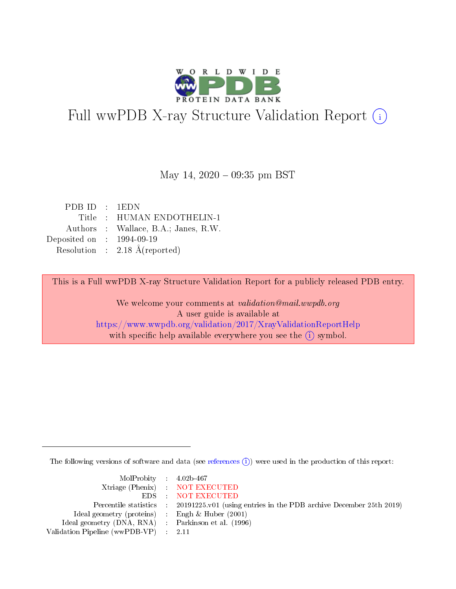

# Full wwPDB X-ray Structure Validation Report (i)

#### May 14,  $2020 - 09:35$  pm BST

| PDBID : 1EDN                |                                          |
|-----------------------------|------------------------------------------|
|                             | Title : HUMAN ENDOTHELIN-1               |
|                             | Authors : Wallace, B.A.; Janes, R.W.     |
| Deposited on : $1994-09-19$ |                                          |
|                             | Resolution : $2.18 \text{ Å}$ (reported) |
|                             |                                          |

This is a Full wwPDB X-ray Structure Validation Report for a publicly released PDB entry.

We welcome your comments at validation@mail.wwpdb.org A user guide is available at <https://www.wwpdb.org/validation/2017/XrayValidationReportHelp> with specific help available everywhere you see the  $(i)$  symbol.

The following versions of software and data (see [references](https://www.wwpdb.org/validation/2017/XrayValidationReportHelp#references)  $\overline{(1)}$ ) were used in the production of this report:

| $MolProbability$ 4.02b-467                          |                                                                                            |
|-----------------------------------------------------|--------------------------------------------------------------------------------------------|
|                                                     | Xtriage (Phenix) NOT EXECUTED                                                              |
|                                                     | EDS NOT EXECUTED                                                                           |
|                                                     | Percentile statistics : 20191225.v01 (using entries in the PDB archive December 25th 2019) |
| Ideal geometry (proteins) :                         | Engh & Huber $(2001)$                                                                      |
| Ideal geometry (DNA, RNA) : Parkinson et al. (1996) |                                                                                            |
| Validation Pipeline (wwPDB-VP) : 2.11               |                                                                                            |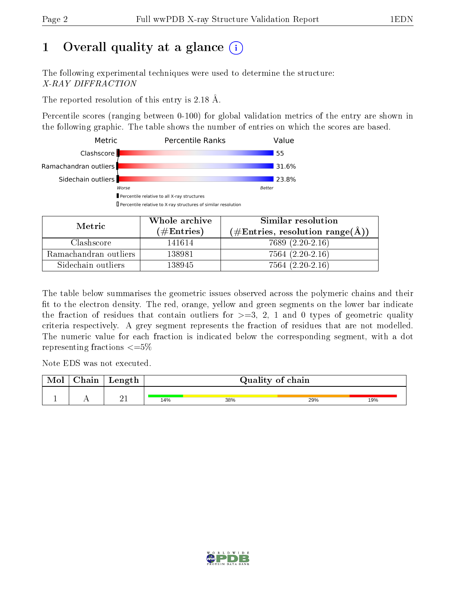# 1 [O](https://www.wwpdb.org/validation/2017/XrayValidationReportHelp#overall_quality)verall quality at a glance  $(i)$

The following experimental techniques were used to determine the structure: X-RAY DIFFRACTION

The reported resolution of this entry is 2.18 Å.

Percentile scores (ranging between 0-100) for global validation metrics of the entry are shown in the following graphic. The table shows the number of entries on which the scores are based.



| Metric                | Whole archive       | Similar resolution                                 |  |  |
|-----------------------|---------------------|----------------------------------------------------|--|--|
|                       | (# $\rm{Entries}$ ) | $(\text{\#Entries, resolution range}(\text{\AA}))$ |  |  |
| Clashscore            | 141614              | $7689(2.20-2.16)$                                  |  |  |
| Ramachandran outliers | 138981              | $7564(2.20-2.16)$                                  |  |  |
| Sidechain outliers    | 138945              | $7564(2.20-2.16)$                                  |  |  |

The table below summarises the geometric issues observed across the polymeric chains and their fit to the electron density. The red, orange, yellow and green segments on the lower bar indicate the fraction of residues that contain outliers for  $\geq=3$ , 2, 1 and 0 types of geometric quality criteria respectively. A grey segment represents the fraction of residues that are not modelled. The numeric value for each fraction is indicated below the corresponding segment, with a dot representing fractions  $\epsilon = 5\%$ 

Note EDS was not executed.

| <b>NIOI</b> | o i n<br>паш | Length | Quality of chain |     |     |     |
|-------------|--------------|--------|------------------|-----|-----|-----|
|             | . .          | - -    | 14%              | 38% | 29% | 19% |

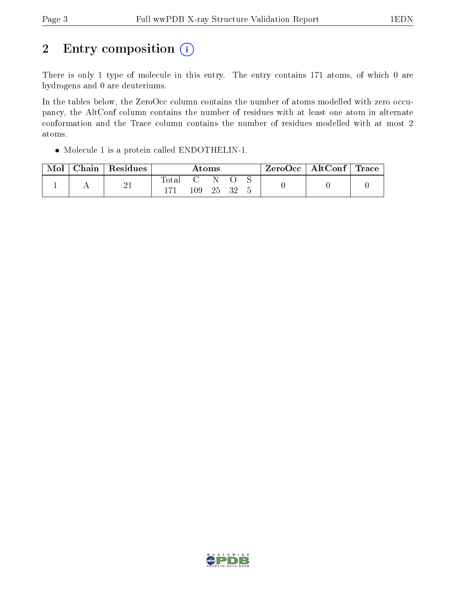# 2 Entry composition  $(i)$

There is only 1 type of molecule in this entry. The entry contains 171 atoms, of which 0 are hydrogens and 0 are deuteriums.

In the tables below, the ZeroOcc column contains the number of atoms modelled with zero occupancy, the AltConf column contains the number of residues with at least one atom in alternate conformation and the Trace column contains the number of residues modelled with at most 2 atoms.

Molecule 1 is a protein called ENDOTHELIN-1.

| Mol | Chain   Residues | $\rm{Atoms}$ |         |    | $\rm ZeroOcc$   AltConf   Trace |  |  |  |
|-----|------------------|--------------|---------|----|---------------------------------|--|--|--|
|     | ി 1<br>41        | $\rm Total$  | $109\,$ | 25 | - 32                            |  |  |  |

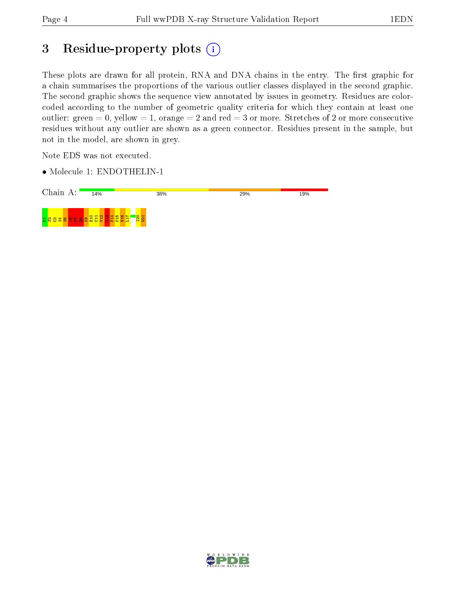## 3 Residue-property plots (i)

These plots are drawn for all protein, RNA and DNA chains in the entry. The first graphic for a chain summarises the proportions of the various outlier classes displayed in the second graphic. The second graphic shows the sequence view annotated by issues in geometry. Residues are colorcoded according to the number of geometric quality criteria for which they contain at least one outlier: green  $= 0$ , yellow  $= 1$ , orange  $= 2$  and red  $= 3$  or more. Stretches of 2 or more consecutive residues without any outlier are shown as a green connector. Residues present in the sample, but not in the model, are shown in grey.

Note EDS was not executed.

• Molecule 1: ENDOTHELIN-1



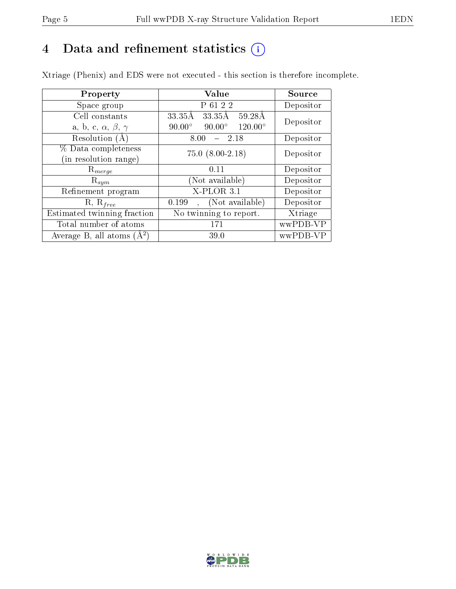## 4 Data and refinement statistics  $(i)$

Xtriage (Phenix) and EDS were not executed - this section is therefore incomplete.

| Property                               | Value                                              | Source    |
|----------------------------------------|----------------------------------------------------|-----------|
| Space group                            | P 61 2 2                                           | Depositor |
| Cell constants                         | $33.35\mathrm{\AA}$<br>33.35Å<br>59.28Å            | Depositor |
| a, b, c, $\alpha$ , $\beta$ , $\gamma$ | $90.00^\circ$<br>$90.00^\circ$<br>$120.00^{\circ}$ |           |
| Resolution $(A)$                       | - 2.18<br>8.00                                     | Depositor |
| % Data completeness                    | $75.0 (8.00-2.18)$                                 | Depositor |
| (in resolution range)                  |                                                    |           |
| $R_{merge}$                            | 0.11                                               | Depositor |
| $\mathrm{R}_{sym}$                     | (Not available)                                    | Depositor |
| Refinement program                     | $X$ -PLOR 3.1                                      | Depositor |
| $R, R_{free}$                          | (Not available)<br>0.199                           | Depositor |
| Estimated twinning fraction            | No twinning to report.                             | Xtriage   |
| Total number of atoms                  | 171                                                | wwPDB-VP  |
| Average B, all atoms $(A^2)$           | 39.0                                               | wwPDB-VP  |

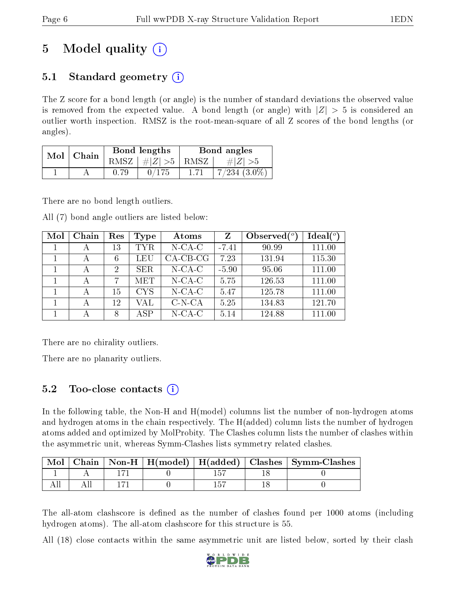# 5 Model quality  $(i)$

## 5.1 Standard geometry (i)

The Z score for a bond length (or angle) is the number of standard deviations the observed value is removed from the expected value. A bond length (or angle) with  $|Z| > 5$  is considered an outlier worth inspection. RMSZ is the root-mean-square of all Z scores of the bond lengths (or angles).

| Mol | Chain |      | Bond lengths | Bond angles |                  |  |
|-----|-------|------|--------------|-------------|------------------|--|
|     |       | RMSZ | $\# Z  > 5$  | RMSZ        | # $ Z  > 5$      |  |
|     |       | 0.79 |              |             | $7/234$ $(3.0\%$ |  |

There are no bond length outliers.

All (7) bond angle outliers are listed below:

| Mol | Chain | Res            | Type       | Atoms      | Z       | Observed $(°)$ | $\text{Ideal}({}^o)$ |
|-----|-------|----------------|------------|------------|---------|----------------|----------------------|
|     | А     | 13             | TYR.       | $N$ -CA-C  | $-7.41$ | 90.99          | 111.00               |
|     | А     | 6              | LEU        | $CA-CB-CG$ | 7.23    | 131.94         | 115.30               |
|     | А     | $\overline{2}$ | <b>SER</b> | $N$ -CA-C  | $-5.90$ | 95.06          | 111.00               |
|     | А     | 7              | MET        | $N$ -CA-C  | 5.75    | 126.53         | 111.00               |
|     |       | 15             | <b>CYS</b> | $N$ -CA-C  | 5.47    | 125.78         | 111.00               |
|     |       | 12             | VAL        | $C-N-CA$   | 5.25    | 134.83         | 121.70               |
|     |       | 8              | A SP       | $N$ -CA-C  | 5.14    | 124.88         | 111.00               |

There are no chirality outliers.

There are no planarity outliers.

## $5.2$  Too-close contacts  $\overline{()}$

In the following table, the Non-H and H(model) columns list the number of non-hydrogen atoms and hydrogen atoms in the chain respectively. The H(added) column lists the number of hydrogen atoms added and optimized by MolProbity. The Clashes column lists the number of clashes within the asymmetric unit, whereas Symm-Clashes lists symmetry related clashes.

|  |  |  | $\mid$ Mol $\mid$ Chain $\mid$ Non-H $\mid$ H(model) $\mid$ H(added) $\mid$ Clashes $\mid$ Symm-Clashes |
|--|--|--|---------------------------------------------------------------------------------------------------------|
|  |  |  |                                                                                                         |
|  |  |  |                                                                                                         |

The all-atom clashscore is defined as the number of clashes found per 1000 atoms (including hydrogen atoms). The all-atom clashscore for this structure is 55.

All (18) close contacts within the same asymmetric unit are listed below, sorted by their clash

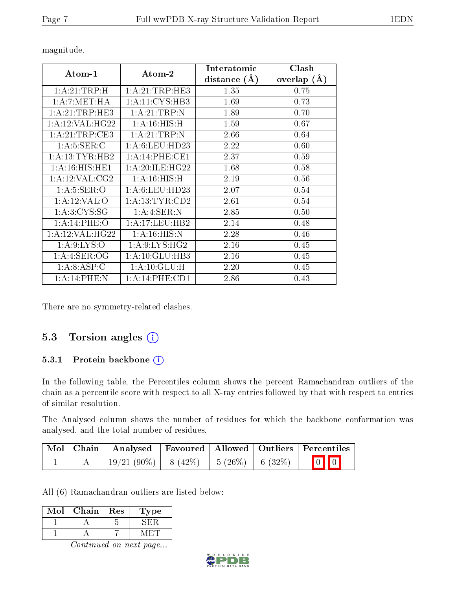| Atom-1                      | Atom-2             | Interatomic    | Clash         |
|-----------------------------|--------------------|----------------|---------------|
|                             |                    | distance $(A)$ | overlap $(A)$ |
| 1:A:21:TRP:H                | 1:A:21:TRP:HE3     | 1.35           | 0.75          |
| 1: A: 7: MET: HA            | 1: A: 11: CYS: HB3 | 1.69           | 0.73          |
| 1: A:21:TRP:HE3             | 1:A:21:TRP:N       | 1.89           | 0.70          |
| 1: A:12: VAL:HG22           | 1: A:16: HIS:H     | 1.59           | 0.67          |
| 1:A:21:TRP:CE3              | 1:A:21:TRP:N       | 2.66           | 0.64          |
| 1: A:5: SER: C              | 1: A:6: LEU: HD23  | 2.22           | 0.60          |
| 1: A:13:TYR:HB2             | 1: A:14:PHE:CE1    | 2.37           | 0.59          |
| $1:A:16:HIS:\overline{HE1}$ | 1:A:20:ILE:HG22    | 1.68           | 0.58          |
| 1: A:12: VAL: CG2           | 1: A:16: HIS:H     | 2.19           | 0.56          |
| 1: A:5: SER:O               | 1:A:6:LEU:HD23     | 2.07           | 0.54          |
| 1: A:12: VAL:O              | 1: A: 13: TYR: CD2 | 2.61           | 0.54          |
| 1: A:3:CYS:SG               | 1: A: 4: SER: N    | 2.85           | 0.50          |
| 1:A:14:PHE:O                | 1: A:17:LEU:HB2    | 2.14           | 0.48          |
| 1: A:12: VAL:HG22           | 1: A:16: HIS:N     | 2.28           | 0.46          |
| 1: A:9: LYS:O               | 1: A:9: LYS: HG2   | 2.16           | 0.45          |
| 1: A: 4: SER: OG            | 1:A:10:GLU:HB3     | 2.16           | 0.45          |
| 1: A:8: ASP:C               | 1:A:10:GLU:H       | 2.20           | 0.45          |
| 1: A:14:PHE:N               | 1:A:14:PHE:CD1     | 2.86           | 0.43          |

magnitude.

There are no symmetry-related clashes.

## 5.3 Torsion angles (i)

#### 5.3.1 Protein backbone  $(i)$

In the following table, the Percentiles column shows the percent Ramachandran outliers of the chain as a percentile score with respect to all X-ray entries followed by that with respect to entries of similar resolution.

The Analysed column shows the number of residues for which the backbone conformation was analysed, and the total number of residues.

|  | Mol Chain Analysed                        |  | Favoured   Allowed   Outliers   Percentiles |
|--|-------------------------------------------|--|---------------------------------------------|
|  | 19/21 (90%)   8 (42%)   5 (26%)   6 (32%) |  | $\boxed{0}$ $\boxed{0}$                     |

All (6) Ramachandran outliers are listed below:

| Mol | Chain              | Res | Type   |
|-----|--------------------|-----|--------|
|     |                    |     |        |
|     |                    |     |        |
|     | ~<br>$\sim$ $\sim$ |     | $\sim$ |

Continued on next page...

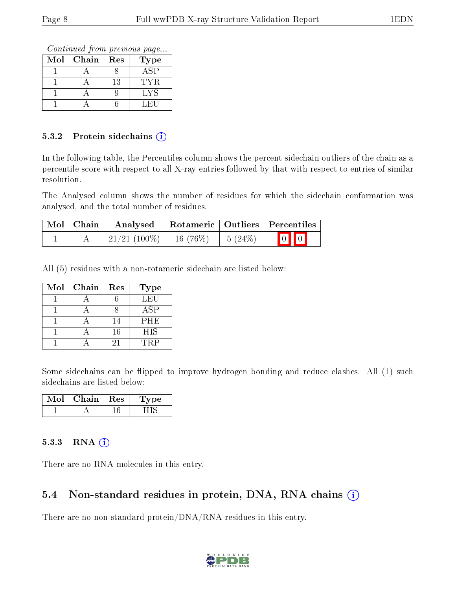Continued from previous page...

| Mol | Chain | Res | $_{\rm Type}$ |
|-----|-------|-----|---------------|
|     |       |     | ASP           |
|     |       | 13  | TYR.          |
|     |       |     | LYS           |
|     |       |     | LEU           |

#### 5.3.2 Protein sidechains  $(i)$

In the following table, the Percentiles column shows the percent sidechain outliers of the chain as a percentile score with respect to all X-ray entries followed by that with respect to entries of similar resolution.

The Analysed column shows the number of residues for which the sidechain conformation was analysed, and the total number of residues.

| Mol   Chain | Analysed   Rotameric   Outliers   Percentiles |                      |                         |
|-------------|-----------------------------------------------|----------------------|-------------------------|
|             | $\mid$ 21/21 (100%) $\mid$ 16 (76%)           | $\frac{1}{5}$ (24\%) | $\boxed{0}$ $\boxed{0}$ |

All (5) residues with a non-rotameric sidechain are listed below:

| Mol | Chain | Res | <b>Type</b> |
|-----|-------|-----|-------------|
|     |       |     | LEU         |
|     |       |     | <b>ASP</b>  |
|     |       | 14  | PHE         |
|     |       | 16  | <b>HIS</b>  |
|     |       | 21  | TRP         |

Some sidechains can be flipped to improve hydrogen bonding and reduce clashes. All (1) such sidechains are listed below:

| Mol | Chain | Res | vne |
|-----|-------|-----|-----|
|     |       |     |     |

#### 5.3.3 RNA (i)

There are no RNA molecules in this entry.

### 5.4 Non-standard residues in protein, DNA, RNA chains  $(i)$

There are no non-standard protein/DNA/RNA residues in this entry.

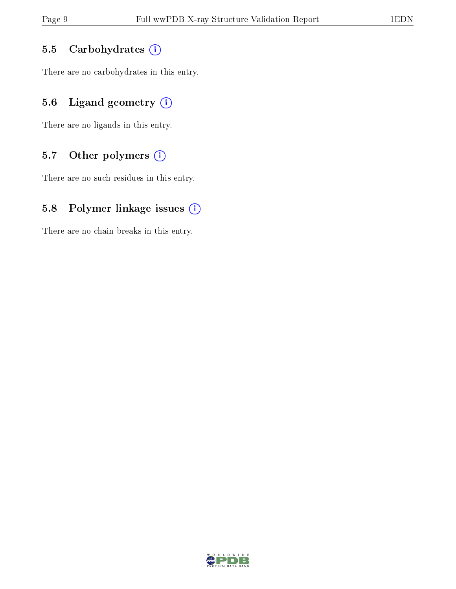#### 5.5 Carbohydrates  $(i)$

There are no carbohydrates in this entry.

## 5.6 Ligand geometry  $(i)$

There are no ligands in this entry.

## 5.7 [O](https://www.wwpdb.org/validation/2017/XrayValidationReportHelp#nonstandard_residues_and_ligands)ther polymers  $(i)$

There are no such residues in this entry.

### 5.8 Polymer linkage issues  $(i)$

There are no chain breaks in this entry.